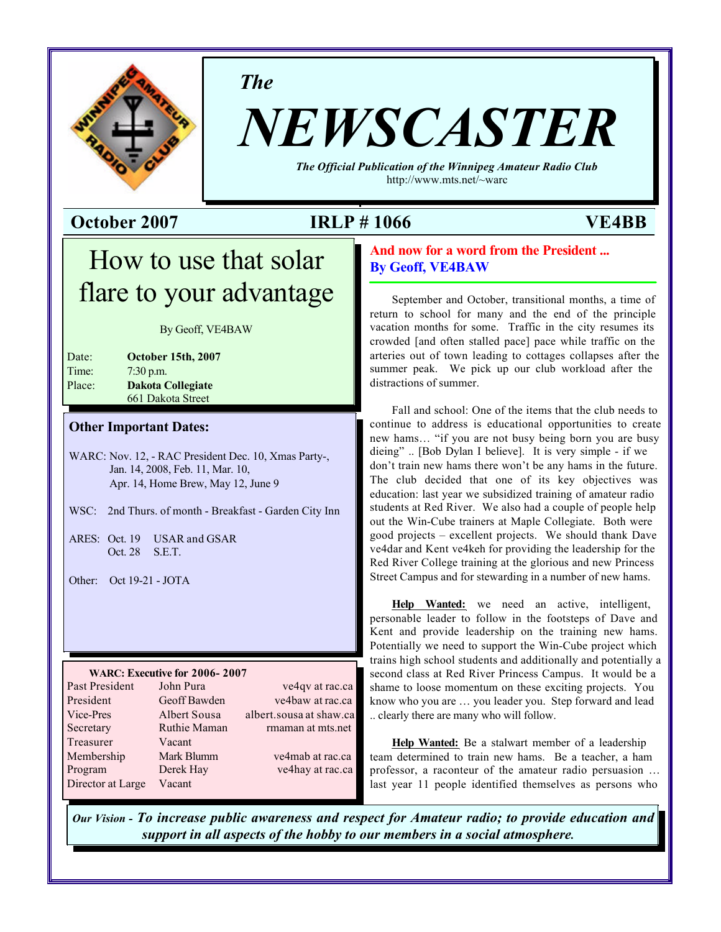

*The*

# *NEWSCASTER*

*The Official Publication of the Winnipeg Amateur Radio Club* http://www.mts.net/~warc

**October 2007 IRLP # 1066 VE4BB**

## How to use that solar flare to your advantage

By Geoff, VE4BAW

| Date:  | <b>October 15th, 2007</b> |
|--------|---------------------------|
| Time:  | $7:30$ p.m.               |
| Place: | <b>Dakota Collegiate</b>  |
|        | 661 Dakota Street         |

#### **Other Important Dates:**

WARC: Nov. 12, - RAC President Dec. 10, Xmas Party-, Jan. 14, 2008, Feb. 11, Mar. 10, Apr. 14, Home Brew, May 12, June 9

- WSC: 2nd Thurs. of month Breakfast Garden City Inn
- ARES: Oct. 19 USAR and GSAR Oct. 28 S.E.T.
- Other: Oct 19-21 JOTA

#### **WARC: Executive for 2006- 2007**

| Past President    | John Pura    | ve4qv at rac.ca         |
|-------------------|--------------|-------------------------|
| President         | Geoff Bawden | ve4baw at rac.ca        |
| Vice-Pres         | Albert Sousa | albert.sousa at shaw.ca |
| Secretary         | Ruthie Maman | rmaman at mts.net       |
| Treasurer         | Vacant       |                         |
| Membership        | Mark Blumm   | ve4mab at rac.ca        |
| Program           | Derek Hay    | ve4hay at rac.ca        |
| Director at Large | Vacant       |                         |

#### **And now for a word from the President ... By Geoff, VE4BAW**

September and October, transitional months, a time of return to school for many and the end of the principle vacation months for some. Traffic in the city resumes its crowded [and often stalled pace] pace while traffic on the arteries out of town leading to cottages collapses after the summer peak. We pick up our club workload after the distractions of summer.

Fall and school: One of the items that the club needs to continue to address is educational opportunities to create new hams… "if you are not busy being born you are busy dieing" .. [Bob Dylan I believe]. It is very simple - if we don't train new hams there won't be any hams in the future. The club decided that one of its key objectives was education: last year we subsidized training of amateur radio students at Red River. We also had a couple of people help out the Win-Cube trainers at Maple Collegiate. Both were good projects – excellent projects. We should thank Dave ve4dar and Kent ve4keh for providing the leadership for the Red River College training at the glorious and new Princess Street Campus and for stewarding in a number of new hams.

**Help Wanted:** we need an active, intelligent, personable leader to follow in the footsteps of Dave and Kent and provide leadership on the training new hams. Potentially we need to support the Win-Cube project which trains high school students and additionally and potentially a second class at Red River Princess Campus. It would be a shame to loose momentum on these exciting projects. You know who you are … you leader you. Step forward and lead .. clearly there are many who will follow.

**Help Wanted:** Be a stalwart member of a leadership team determined to train new hams. Be a teacher, a ham professor, a raconteur of the amateur radio persuasion … last year 11 people identified themselves as persons who

*Our Vision - To increase public awareness and respect for Amateur radio; to provide education and support in all aspects of the hobby to our members in a social atmosphere.*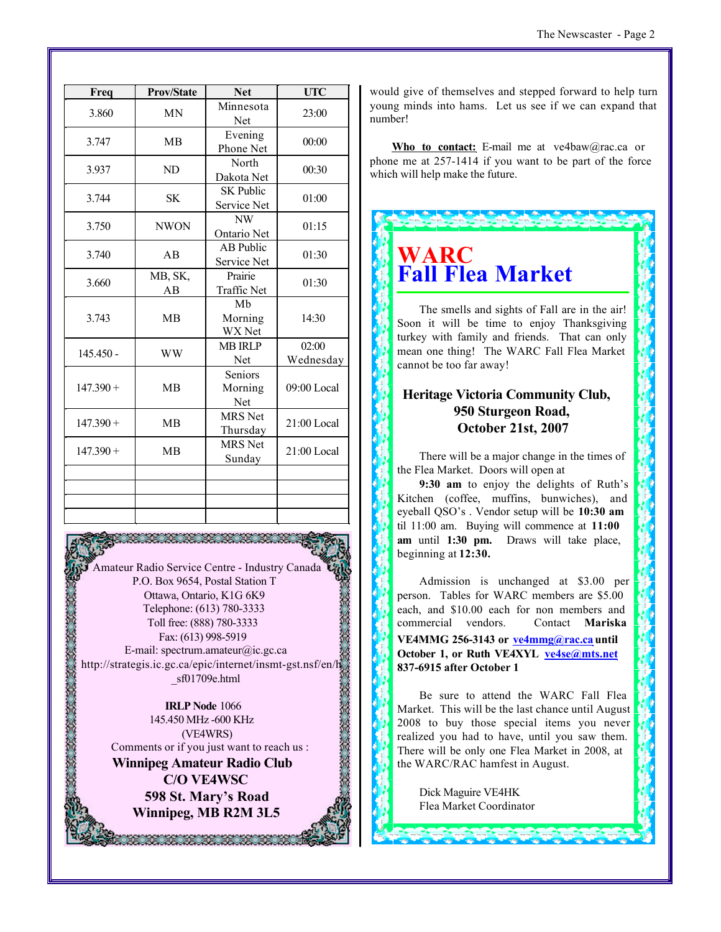| Freq        | <b>Prov/State</b> | <b>Net</b>                      | <b>UTC</b>         |
|-------------|-------------------|---------------------------------|--------------------|
| 3.860       | <b>MN</b>         | Minnesota<br>Net                | 23:00              |
| 3.747       | MB                | Evening<br>Phone Net            | 00:00              |
| 3.937       | ND                | North<br>Dakota Net             | 00:30              |
| 3.744       | SK                | <b>SK Public</b><br>Service Net | 01:00              |
| 3.750       | <b>NWON</b>       | <b>NW</b><br>Ontario Net        | 01:15              |
| 3.740       | AB                | <b>AB</b> Public<br>Service Net | 01:30              |
| 3.660       | MB, SK,<br>AB     | Prairie<br>Traffic Net          | 01:30              |
| 3.743       | <b>MB</b>         | Mb<br>Morning<br>WX Net         | 14:30              |
| $145.450 -$ | <b>WW</b>         | <b>MB IRLP</b><br>Net           | 02:00<br>Wednesday |
| $147.390 +$ | <b>MB</b>         | Seniors<br>Morning<br>Net       | 09:00 Local        |
| $147.390 +$ | <b>MB</b>         | <b>MRS</b> Net<br>Thursday      | $21:00$ Local      |
| $147.390 +$ | <b>MB</b>         | <b>MRS</b> Net<br>Sunday        | $21:00$ Local      |
|             |                   |                                 |                    |
|             |                   |                                 |                    |
|             |                   |                                 |                    |

Amateur Radio Service Centre - Industry Canada P.O. Box 9654, Postal Station T Ottawa, Ontario, K1G 6K9 Telephone: (613) 780-3333 Toll free: (888) 780-3333 Fax: (613) 998-5919 E-mail: spectrum.amateur@ic.gc.ca http://strategis.ic.gc.ca/epic/internet/insmt-gst.nsf/en/h \_sf01709e.html

**IRLP Node** 1066 145.450 MHz -600 KHz (VE4WRS) Comments or if you just want to reach us : **Winnipeg Amateur Radio Club C/O VE4WSC 598 St. Mary's Road Winnipeg, MB R2M 3L5**

22 22 23 23 23

would give of themselves and stepped forward to help turn young minds into hams. Let us see if we can expand that number!

**Who to contact:** E-mail me at ve4baw@rac.ca or phone me at 257-1414 if you want to be part of the force which will help make the future.



The smells and sights of Fall are in the air! Soon it will be time to enjoy Thanksgiving turkey with family and friends. That can only mean one thing! The WARC Fall Flea Market cannot be too far away!

#### **Heritage Victoria Community Club, 950 Sturgeon Road, October 21st, 2007**

There will be a major change in the times of the Flea Market. Doors will open at

**9:30 am** to enjoy the delights of Ruth's Kitchen (coffee, muffins, bunwiches), and eyeball QSO's . Vendor setup will be **10:30 am** til 11:00 am. Buying will commence at **11:00 am** until **1:30 pm.** Draws will take place, beginning at **12:30.**

Admission is unchanged at \$3.00 per person. Tables for WARC members are \$5.00 each, and \$10.00 each for non members and commercial vendors. Contact **Mariska VE4MMG 256-3143 or ve4mmg@rac.ca until** October 1, or Ruth VE4XYL ve4se@mts.net **837-6915 after October 1**

Be sure to attend the WARC Fall Flea Market. This will be the last chance until August 2008 to buy those special items you never realized you had to have, until you saw them. There will be only one Flea Market in 2008, at the WARC/RAC hamfest in August.

Dick Maguire VE4HK Flea Market Coordinator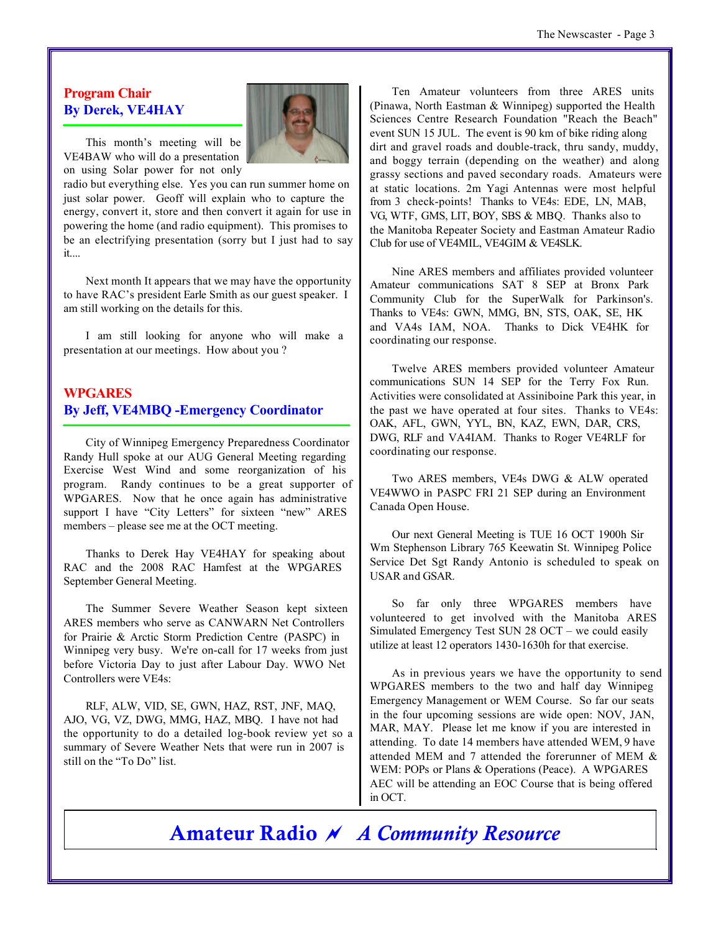#### **Program Chair By Derek, VE4HAY**



This month's meeting will be VE4BAW who will do a presentation on using Solar power for not only

radio but everything else. Yes you can run summer home on just solar power. Geoff will explain who to capture the energy, convert it, store and then convert it again for use in powering the home (and radio equipment). This promises to be an electrifying presentation (sorry but I just had to say it....

Next month It appears that we may have the opportunity to have RAC's president Earle Smith as our guest speaker. I am still working on the details for this.

I am still looking for anyone who will make a presentation at our meetings. How about you ?

#### **WPGARES By Jeff, VE4MBQ -Emergency Coordinator**

City of Winnipeg Emergency Preparedness Coordinator Randy Hull spoke at our AUG General Meeting regarding Exercise West Wind and some reorganization of his program. Randy continues to be a great supporter of WPGARES. Now that he once again has administrative support I have "City Letters" for sixteen "new" ARES members – please see me at the OCT meeting.

Thanks to Derek Hay VE4HAY for speaking about RAC and the 2008 RAC Hamfest at the WPGARES September General Meeting.

The Summer Severe Weather Season kept sixteen ARES members who serve as CANWARN Net Controllers for Prairie & Arctic Storm Prediction Centre (PASPC) in Winnipeg very busy. We're on-call for 17 weeks from just before Victoria Day to just after Labour Day. WWO Net Controllers were VE4s:

RLF, ALW, VID, SE, GWN, HAZ, RST, JNF, MAQ, AJO, VG, VZ, DWG, MMG, HAZ, MBQ. I have not had the opportunity to do a detailed log-book review yet so a summary of Severe Weather Nets that were run in 2007 is still on the "To Do" list.

Ten Amateur volunteers from three ARES units (Pinawa, North Eastman & Winnipeg) supported the Health Sciences Centre Research Foundation "Reach the Beach" event SUN 15 JUL. The event is 90 km of bike riding along dirt and gravel roads and double-track, thru sandy, muddy, and boggy terrain (depending on the weather) and along grassy sections and paved secondary roads. Amateurs were at static locations. 2m Yagi Antennas were most helpful from 3 check-points! Thanks to VE4s: EDE, LN, MAB, VG, WTF, GMS, LIT, BOY, SBS & MBQ. Thanks also to the Manitoba Repeater Society and Eastman Amateur Radio Club for use of VE4MIL, VE4GIM & VE4SLK.

Nine ARES members and affiliates provided volunteer Amateur communications SAT 8 SEP at Bronx Park Community Club for the SuperWalk for Parkinson's. Thanks to VE4s: GWN, MMG, BN, STS, OAK, SE, HK and VA4s IAM, NOA. Thanks to Dick VE4HK for coordinating our response.

Twelve ARES members provided volunteer Amateur communications SUN 14 SEP for the Terry Fox Run. Activities were consolidated at Assiniboine Park this year, in the past we have operated at four sites. Thanks to VE4s: OAK, AFL, GWN, YYL, BN, KAZ, EWN, DAR, CRS, DWG, RLF and VA4IAM. Thanks to Roger VE4RLF for coordinating our response.

Two ARES members, VE4s DWG & ALW operated VE4WWO in PASPC FRI 21 SEP during an Environment Canada Open House.

Our next General Meeting is TUE 16 OCT 1900h Sir Wm Stephenson Library 765 Keewatin St. Winnipeg Police Service Det Sgt Randy Antonio is scheduled to speak on USAR and GSAR.

So far only three WPGARES members have volunteered to get involved with the Manitoba ARES Simulated Emergency Test SUN 28 OCT – we could easily utilize at least 12 operators 1430-1630h for that exercise.

As in previous years we have the opportunity to send WPGARES members to the two and half day Winnipeg Emergency Management or WEM Course. So far our seats in the four upcoming sessions are wide open: NOV, JAN, MAR, MAY. Please let me know if you are interested in attending. To date 14 members have attended WEM, 9 have attended MEM and 7 attended the forerunner of MEM & WEM: POPs or Plans & Operations (Peace). A WPGARES AEC will be attending an EOC Course that is being offered in OCT.

**Amateur Radio** *~ A Community Resource*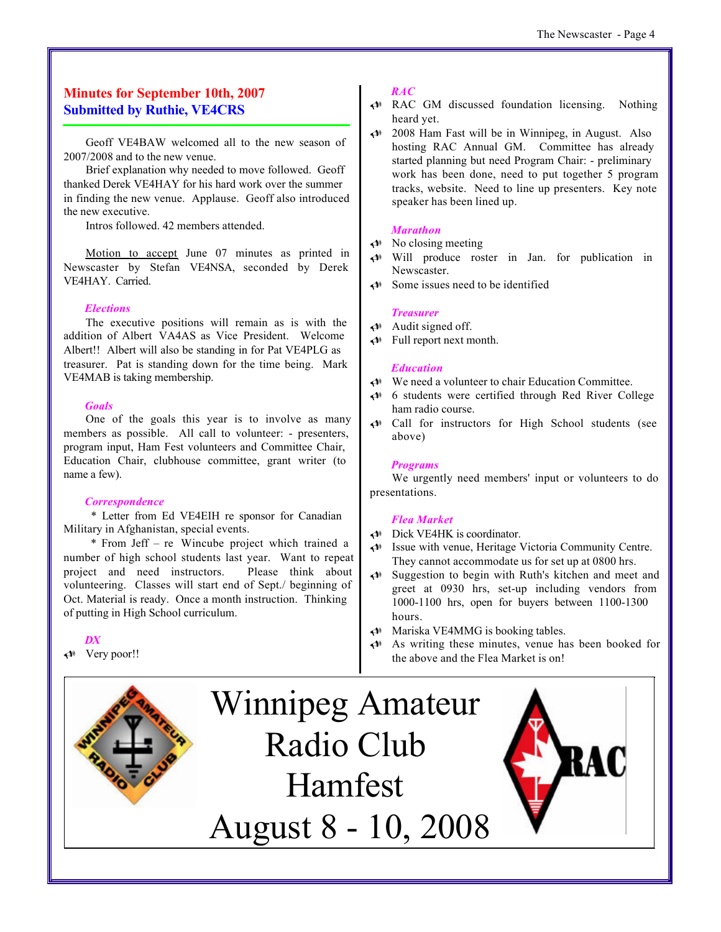#### **Minutes for September 10th, 2007 Submitted by Ruthie, VE4CRS**

Geoff VE4BAW welcomed all to the new season of 2007/2008 and to the new venue.

Brief explanation why needed to move followed. Geoff thanked Derek VE4HAY for his hard work over the summer in finding the new venue. Applause. Geoff also introduced the new executive.

Intros followed. 42 members attended.

Motion to accept June 07 minutes as printed in Newscaster by Stefan VE4NSA, seconded by Derek VE4HAY. Carried.

#### *Elections*

The executive positions will remain as is with the addition of Albert VA4AS as Vice President. Welcome Albert!! Albert will also be standing in for Pat VE4PLG as treasurer. Pat is standing down for the time being. Mark VE4MAB is taking membership.

#### *Goals*

One of the goals this year is to involve as many members as possible. All call to volunteer: - presenters, program input, Ham Fest volunteers and Committee Chair, Education Chair, clubhouse committee, grant writer (to name a few).

#### *Correspondence*

 \* Letter from Ed VE4EIH re sponsor for Canadian Military in Afghanistan, special events.

 \* From Jeff – re Wincube project which trained a number of high school students last year. Want to repeat project and need instructors. Please think about volunteering. Classes will start end of Sept./ beginning of Oct. Material is ready. Once a month instruction. Thinking of putting in High School curriculum.

*DX*

*U* Very poor!!



#### *RAC*

- *U* RAC GM discussed foundation licensing. Nothing heard yet.
- *U* 2008 Ham Fast will be in Winnipeg, in August. Also hosting RAC Annual GM. Committee has already started planning but need Program Chair: - preliminary work has been done, need to put together 5 program tracks, website. Need to line up presenters. Key note speaker has been lined up.

#### *Marathon*

- *U* No closing meeting
- *U* Will produce roster in Jan. for publication in Newscaster.
- *U* Some issues need to be identified

#### *Treasurer*

- *U* Audit signed off.
- *U* Full report next month.

#### *Education*

- *U* We need a volunteer to chair Education Committee.
- *U* 6 students were certified through Red River College ham radio course.
- *U* Call for instructors for High School students (see above)

#### *Programs*

We urgently need members' input or volunteers to do presentations.

#### *Flea Market*

- ◆ Dick VE4HK is coordinator.
- *U* Issue with venue, Heritage Victoria Community Centre. They cannot accommodate us for set up at 0800 hrs.
- *U* Suggestion to begin with Ruth's kitchen and meet and greet at 0930 hrs, set-up including vendors from 1000-1100 hrs, open for buyers between 1100-1300 hours.
- *U* Mariska VE4MMG is booking tables.
- *U* As writing these minutes, venue has been booked for the above and the Flea Market is on!

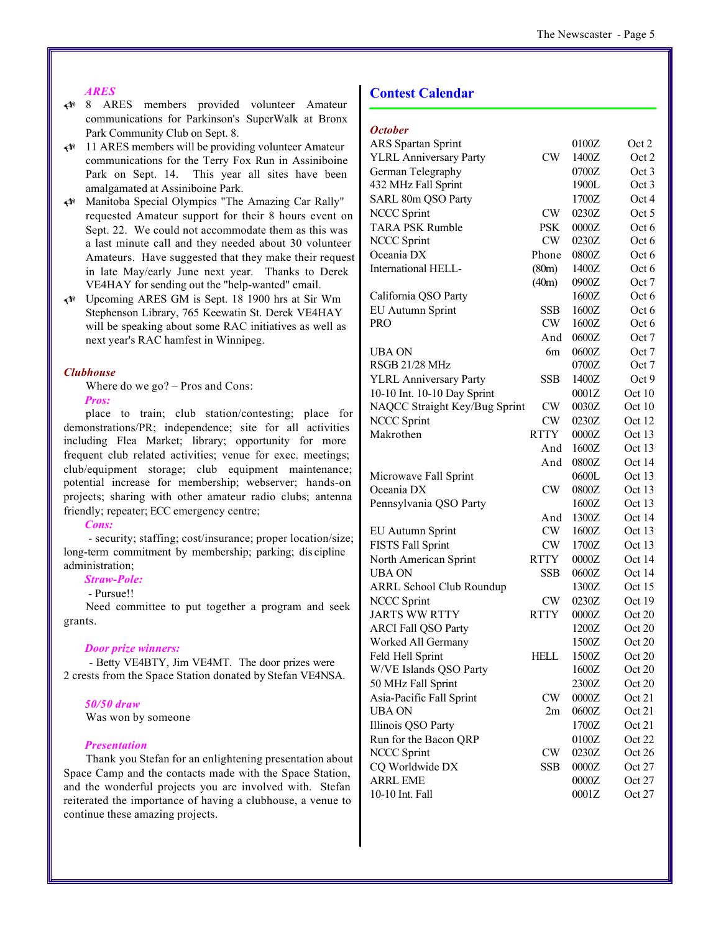#### *ARES*

- *U* 8 ARES members provided volunteer Amateur communications for Parkinson's SuperWalk at Bronx Park Community Club on Sept. 8.
- *U* 11 ARES members will be providing volunteer Amateur communications for the Terry Fox Run in Assiniboine Park on Sept. 14. This year all sites have been amalgamated at Assiniboine Park.
- *U* Manitoba Special Olympics "The Amazing Car Rally" requested Amateur support for their 8 hours event on Sept. 22. We could not accommodate them as this was a last minute call and they needed about 30 volunteer Amateurs. Have suggested that they make their request in late May/early June next year. Thanks to Derek VE4HAY for sending out the "help-wanted" email.
- *U* Upcoming ARES GM is Sept. 18 1900 hrs at Sir Wm Stephenson Library, 765 Keewatin St. Derek VE4HAY will be speaking about some RAC initiatives as well as next year's RAC hamfest in Winnipeg.

#### *Clubhouse*

Where do we go? – Pros and Cons: *Pros:*

place to train; club station/contesting; place for demonstrations/PR; independence; site for all activities including Flea Market; library; opportunity for more frequent club related activities; venue for exec. meetings; club/equipment storage; club equipment maintenance; potential increase for membership; webserver; hands-on projects; sharing with other amateur radio clubs; antenna friendly; repeater; ECC emergency centre;

#### *Cons:*

 - security; staffing; cost/insurance; proper location/size; long-term commitment by membership; parking; dis cipline administration;

#### *Straw-Pole:*

#### - Pursue!!

Need committee to put together a program and seek grants.

#### *Door prize winners:*

 - Betty VE4BTY, Jim VE4MT. The door prizes were 2 crests from the Space Station donated by Stefan VE4NSA.

#### *50/50 draw*

Was won by someone

#### *Presentation*

Thank you Stefan for an enlightening presentation about Space Camp and the contacts made with the Space Station, and the wonderful projects you are involved with. Stefan reiterated the importance of having a clubhouse, a venue to continue these amazing projects.

#### **Contest Calendar**

#### *October*

|             | 0100Z                               | Oct 2  |
|-------------|-------------------------------------|--------|
| CW          | 1400Z                               | Oct 2  |
|             | 0700Z                               | Oct 3  |
|             | 1900L                               | Oct 3  |
|             | 1700Z                               | Oct 4  |
| <b>CW</b>   | 0230Z                               | Oct 5  |
| <b>PSK</b>  | 0000Z                               | Oct 6  |
| CW          | 0230Z                               | Oct 6  |
| Phone       | 0800Z                               | Oct 6  |
| (80m)       | 1400Z                               | Oct 6  |
| (40m)       | 0900Z                               | Oct 7  |
|             | 1600Z                               | Oct 6  |
| <b>SSB</b>  | 1600Z                               | Oct 6  |
| CW          | 1600Z                               | Oct 6  |
| And         | 0600Z                               | Oct 7  |
| 6m          | 0600Z                               | Oct 7  |
|             | 0700Z                               | Oct 7  |
| <b>SSB</b>  | 1400Z                               | Oct 9  |
|             | 0001Z                               | Oct 10 |
| <b>CW</b>   | 0030Z                               | Oct 10 |
| <b>CW</b>   | 0230Z                               | Oct 12 |
| <b>RTTY</b> | 0000Z                               | Oct 13 |
| And         | 1600Z                               | Oct 13 |
| And         | 0800Z                               | Oct 14 |
|             | 0600L                               | Oct 13 |
| CW          | 0800Z                               | Oct 13 |
|             | 1600Z                               | Oct 13 |
| And         | 1300Z                               | Oct 14 |
| CW          | 1600Z                               | Oct 13 |
| CW          | 1700Z                               | Oct 13 |
| <b>RTTY</b> | 0000Z                               | Oct 14 |
| <b>SSB</b>  | 0600Z                               | Oct 14 |
|             | 1300Z                               | Oct 15 |
| <b>CW</b>   | 0230Z                               | Oct 19 |
| <b>RTTY</b> | 0000Z                               | Oct 20 |
|             | 1200Z                               | Oct 20 |
|             | 1500Z                               | Oct 20 |
| HELL        | 1500Z                               | Oct 20 |
|             | 1600Z                               | Oct 20 |
|             | 2300Z                               | Oct 20 |
|             | 0000Z                               | Oct 21 |
| 2m          | 0600Z                               | Oct 21 |
|             | 1700Z                               | Oct 21 |
|             | 0100Z                               | Oct 22 |
| CW          | 0230Z                               | Oct 26 |
| SSB         | 0000Z                               | Oct 27 |
|             | 0000Z                               | Oct 27 |
|             | 0001Z                               |        |
|             | NAQCC Straight Key/Bug Sprint<br>CW |        |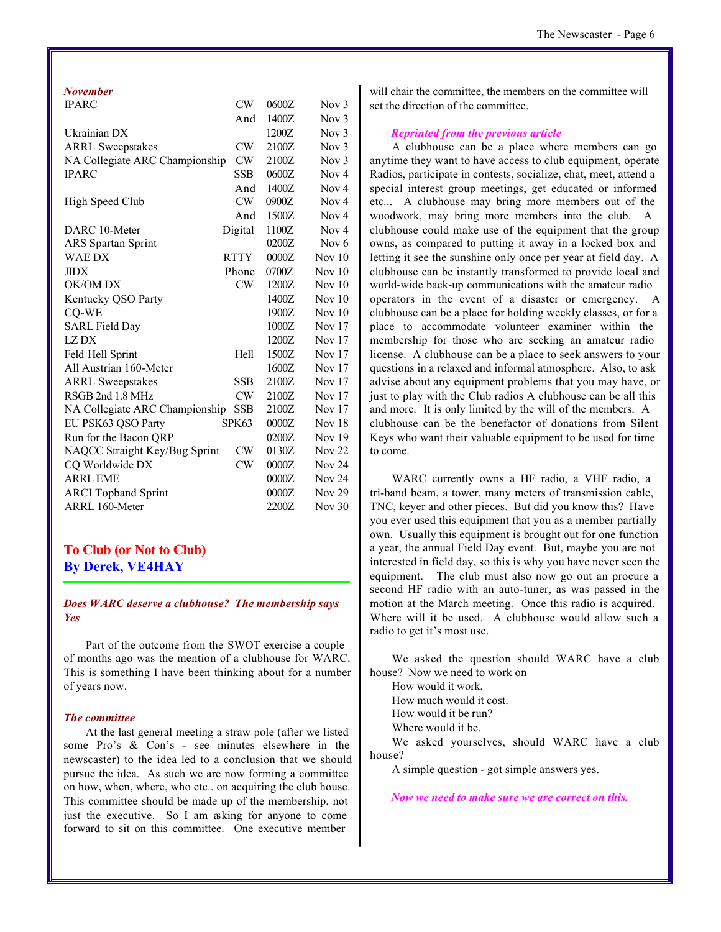#### *November*

| <b>IPARC</b>                   | CW          | 0600Z | Nov <sub>3</sub>  |
|--------------------------------|-------------|-------|-------------------|
|                                | And         | 1400Z | Nov $3$           |
| Ukrainian DX                   |             | 1200Z | Nov $3$           |
| <b>ARRL Sweepstakes</b>        | CW          | 2100Z | Nov <sub>3</sub>  |
| NA Collegiate ARC Championship | CW.         | 2100Z | Nov $3$           |
| <b>IPARC</b>                   | SSB.        | 0600Z | Now 4             |
|                                | And         | 1400Z | Nov <sub>4</sub>  |
| High Speed Club                | CW          | 0900Z | Now 4             |
|                                | And         | 1500Z | Now 4             |
| DARC 10-Meter                  | Digital     | 1100Z | Nov <sub>4</sub>  |
| <b>ARS</b> Spartan Sprint      |             | 0200Z | Nov $6$           |
| WAE DX                         | <b>RTTY</b> | 0000Z | Nov $10$          |
| <b>JIDX</b>                    | Phone       | 0700Z | Nov $10$          |
| OK/OM DX                       | <b>CW</b>   | 1200Z | Nov $10$          |
| Kentucky QSO Party             |             | 1400Z | Nov $10$          |
| CQ-WE                          |             | 1900Z | Nov $10$          |
| <b>SARL Field Day</b>          |             | 1000Z | Nov $17$          |
| LZ DX                          |             | 1200Z | Nov $17$          |
| Feld Hell Sprint               | Hell        | 1500Z | Nov $17$          |
| All Austrian 160-Meter         |             | 1600Z | Nov $17$          |
| <b>ARRL Sweepstakes</b>        | <b>SSB</b>  | 2100Z | Nov $17$          |
| RSGB 2nd 1.8 MHz               | CW          | 2100Z | Nov $17$          |
| NA Collegiate ARC Championship | SSB         | 2100Z | Nov 17            |
| EU PSK63 QSO Party             | SPK63       | 0000Z | Nov $18$          |
| Run for the Bacon QRP          |             | 0200Z | Nov $19$          |
| NAQCC Straight Key/Bug Sprint  | CW          | 0130Z | Nov <sub>22</sub> |
| CQ Worldwide DX                | CW          | 0000Z | Nov <sub>24</sub> |
| <b>ARRL EME</b>                |             | 0000Z | Nov <sub>24</sub> |
| <b>ARCI</b> Topband Sprint     |             | 0000Z | Nov $29$          |
| <b>ARRL 160-Meter</b>          |             | 2200Z | Nov $30$          |

#### **To Club (or Not to Club) By Derek, VE4HAY**

#### *Does WARC deserve a clubhouse? The membership says Yes*

Part of the outcome from the SWOT exercise a couple of months ago was the mention of a clubhouse for WARC. This is something I have been thinking about for a number of years now.

#### *The committee*

At the last general meeting a straw pole (after we listed some Pro's & Con's - see minutes elsewhere in the newscaster) to the idea led to a conclusion that we should pursue the idea. As such we are now forming a committee on how, when, where, who etc.. on acquiring the club house. This committee should be made up of the membership, not just the executive. So I am asking for anyone to come forward to sit on this committee. One executive member

will chair the committee, the members on the committee will set the direction of the committee.

#### *Reprinted from the previous article*

A clubhouse can be a place where members can go anytime they want to have access to club equipment, operate Radios, participate in contests, socialize, chat, meet, attend a special interest group meetings, get educated or informed etc... A clubhouse may bring more members out of the woodwork, may bring more members into the club. A clubhouse could make use of the equipment that the group owns, as compared to putting it away in a locked box and letting it see the sunshine only once per year at field day. A clubhouse can be instantly transformed to provide local and world-wide back-up communications with the amateur radio operators in the event of a disaster or emergency. A clubhouse can be a place for holding weekly classes, or for a place to accommodate volunteer examiner within the membership for those who are seeking an amateur radio license. A clubhouse can be a place to seek answers to your questions in a relaxed and informal atmosphere. Also, to ask advise about any equipment problems that you may have, or just to play with the Club radios A clubhouse can be all this and more. It is only limited by the will of the members. A clubhouse can be the benefactor of donations from Silent Keys who want their valuable equipment to be used for time to come.

WARC currently owns a HF radio, a VHF radio, a tri-band beam, a tower, many meters of transmission cable, TNC, keyer and other pieces. But did you know this? Have you ever used this equipment that you as a member partially own. Usually this equipment is brought out for one function a year, the annual Field Day event. But, maybe you are not interested in field day, so this is why you have never seen the equipment. The club must also now go out an procure a second HF radio with an auto-tuner, as was passed in the motion at the March meeting. Once this radio is acquired. Where will it be used. A clubhouse would allow such a radio to get it's most use.

We asked the question should WARC have a club house? Now we need to work on

How would it work.

How much would it cost.

How would it be run?

Where would it be.

We asked yourselves, should WARC have a club house?

A simple question - got simple answers yes.

*Now we need to make sure we are correct on this.*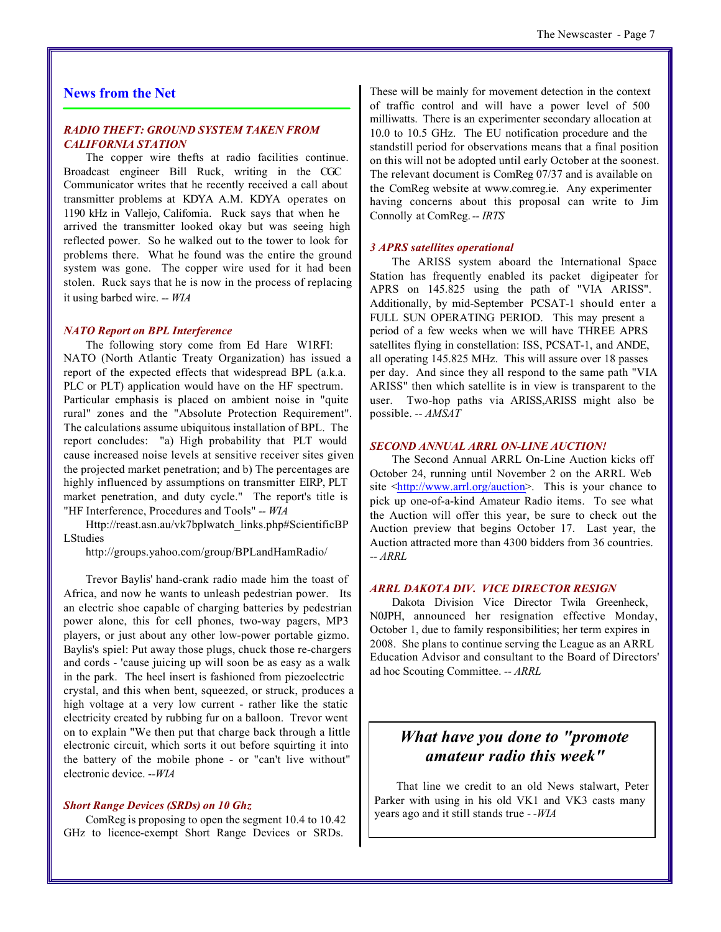#### **News from the Net**

#### *RADIO THEFT: GROUND SYSTEM TAKEN FROM CALIFORNIA STATION*

The copper wire thefts at radio facilities continue. Broadcast engineer Bill Ruck, writing in the CGC Communicator writes that he recently received a call about transmitter problems at KDYA A.M. KDYA operates on 1190 kHz in Vallejo, California. Ruck says that when he arrived the transmitter looked okay but was seeing high reflected power. So he walked out to the tower to look for problems there. What he found was the entire the ground system was gone. The copper wire used for it had been stolen. Ruck says that he is now in the process of replacing it using barbed wire. *-- WIA*

#### *NATO Report on BPL Interference*

The following story come from Ed Hare W1RFI: NATO (North Atlantic Treaty Organization) has issued a report of the expected effects that widespread BPL (a.k.a. PLC or PLT) application would have on the HF spectrum. Particular emphasis is placed on ambient noise in "quite rural" zones and the "Absolute Protection Requirement". The calculations assume ubiquitous installation of BPL. The report concludes: "a) High probability that PLT would cause increased noise levels at sensitive receiver sites given the projected market penetration; and b) The percentages are highly influenced by assumptions on transmitter EIRP, PLT market penetration, and duty cycle." The report's title is "HF Interference, Procedures and Tools" *-- WIA*

Http://reast.asn.au/vk7bplwatch\_links.php#ScientificBP LStudies

http://groups.yahoo.com/group/BPLandHamRadio/

Trevor Baylis' hand-crank radio made him the toast of Africa, and now he wants to unleash pedestrian power. Its an electric shoe capable of charging batteries by pedestrian power alone, this for cell phones, two-way pagers, MP3 players, or just about any other low-power portable gizmo. Baylis's spiel: Put away those plugs, chuck those re-chargers and cords - 'cause juicing up will soon be as easy as a walk in the park. The heel insert is fashioned from piezoelectric crystal, and this when bent, squeezed, or struck, produces a high voltage at a very low current - rather like the static electricity created by rubbing fur on a balloon. Trevor went on to explain "We then put that charge back through a little electronic circuit, which sorts it out before squirting it into the battery of the mobile phone - or "can't live without" electronic device. -*-WIA*

#### *Short Range Devices (SRDs) on 10 Ghz*

ComReg is proposing to open the segment 10.4 to 10.42 GHz to licence-exempt Short Range Devices or SRDs.

These will be mainly for movement detection in the context of traffic control and will have a power level of 500 milliwatts. There is an experimenter secondary allocation at 10.0 to 10.5 GHz. The EU notification procedure and the standstill period for observations means that a final position on this will not be adopted until early October at the soonest. The relevant document is ComReg 07/37 and is available on the ComReg website at www.comreg.ie. Any experimenter having concerns about this proposal can write to Jim Connolly at ComReg.*-- IRTS*

#### *3 APRS satellites operational*

The ARISS system aboard the International Space Station has frequently enabled its packet digipeater for APRS on 145.825 using the path of "VIA ARISS". Additionally, by mid-September PCSAT-1 should enter a FULL SUN OPERATING PERIOD. This may present a period of a few weeks when we will have THREE APRS satellites flying in constellation: ISS, PCSAT-1, and ANDE, all operating 145.825 MHz. This will assure over 18 passes per day. And since they all respond to the same path "VIA ARISS" then which satellite is in view is transparent to the user. Two-hop paths via ARISS,ARISS might also be possible. *-- AMSAT*

#### *SECOND ANNUAL ARRL ON-LINE AUCTION!*

The Second Annual ARRL On-Line Auction kicks off October 24, running until November 2 on the ARRL Web site <http://www.arrl.org/auction>. This is your chance to pick up one-of-a-kind Amateur Radio items. To see what the Auction will offer this year, be sure to check out the Auction preview that begins October 17. Last year, the Auction attracted more than 4300 bidders from 36 countries. *-- ARRL*

#### *ARRL DAKOTA DIV. VICE DIRECTOR RESIGN*

Dakota Division Vice Director Twila Greenheck, N0JPH, announced her resignation effective Monday, October 1, due to family responsibilities; her term expires in 2008. She plans to continue serving the League as an ARRL Education Advisor and consultant to the Board of Directors' ad hoc Scouting Committee. *-- ARRL*

### *What have you done to "promote amateur radio this week"*

That line we credit to an old News stalwart, Peter Parker with using in his old VK1 and VK3 casts many years ago and it still stands true *- -WIA*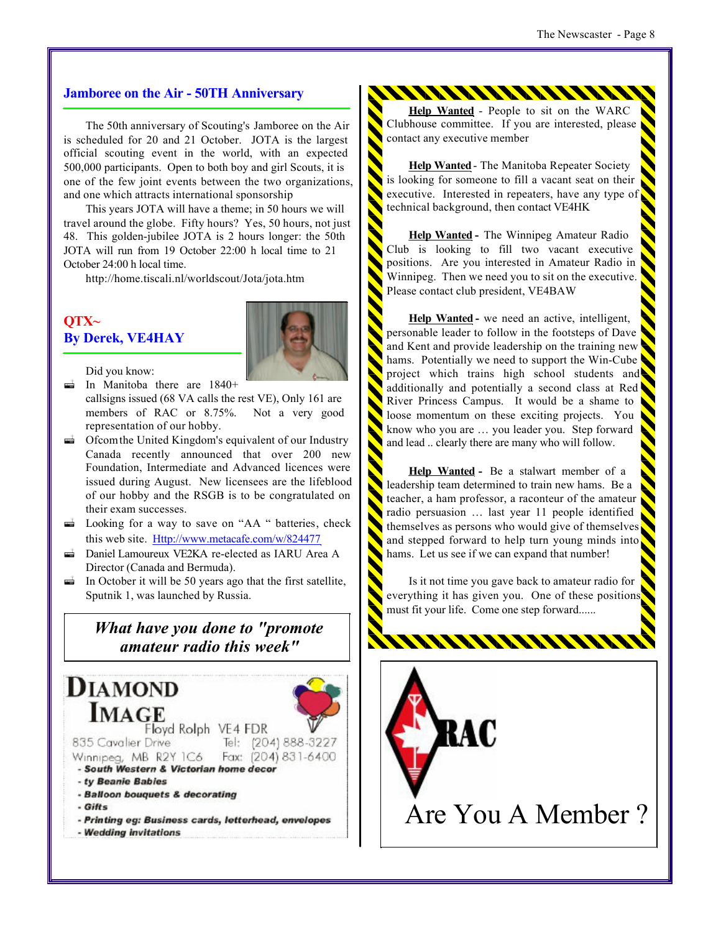#### **Jamboree on the Air - 50TH Anniversary**

The 50th anniversary of Scouting's Jamboree on the Air is scheduled for 20 and 21 October. JOTA is the largest official scouting event in the world, with an expected 500,000 participants. Open to both boy and girl Scouts, it is one of the few joint events between the two organizations, and one which attracts international sponsorship

This years JOTA will have a theme; in 50 hours we will travel around the globe. Fifty hours? Yes, 50 hours, not just 48. This golden-jubilee JOTA is 2 hours longer: the 50th JOTA will run from 19 October 22:00 h local time to 21 October 24:00 h local time.

http://home.tiscali.nl/worldscout/Jota/jota.htm

#### **QTX~ By Derek, VE4HAY**



Did you know: **a** In Manitoba there are 1840+

- callsigns issued (68 VA calls the rest VE), Only 161 are members of RAC or 8.75%. Not a very good representation of our hobby.
- $\vec{a}$  Ofcom the United Kingdom's equivalent of our Industry Canada recently announced that over 200 new Foundation, Intermediate and Advanced licences were issued during August. New licensees are the lifeblood of our hobby and the RSGB is to be congratulated on their exam successes.
- $\overrightarrow{a}$  Looking for a way to save on "AA " batteries, check this web site. Http://www.metacafe.com/w/824477
- *ª* Daniel Lamoureux VE2KA re-elected as IARU Area A Director (Canada and Bermuda).
- *i* In October it will be 50 years ago that the first satellite, Sputnik 1, was launched by Russia.

### *What have you done to "promote amateur radio this week"*



**Help Wanted** - People to sit on the WARC Clubhouse committee. If you are interested, please contact any executive member

\*\*\*\*\*\*\*\*\*\*\*\*\*\*\*\*\*\*\*\*\*\*\*\*\*\*\*\*\*

**Help Wanted**- The Manitoba Repeater Society is looking for someone to fill a vacant seat on their executive. Interested in repeaters, have any type of technical background, then contact VE4HK

**Help Wanted -** The Winnipeg Amateur Radio Club is looking to fill two vacant executive positions. Are you interested in Amateur Radio in Winnipeg. Then we need you to sit on the executive. Please contact club president, VE4BAW

**Help Wanted -** we need an active, intelligent, personable leader to follow in the footsteps of Dave and Kent and provide leadership on the training new hams. Potentially we need to support the Win-Cube project which trains high school students and additionally and potentially a second class at Red River Princess Campus. It would be a shame to loose momentum on these exciting projects. You know who you are … you leader you. Step forward and lead .. clearly there are many who will follow.

**Help Wanted -** Be a stalwart member of a leadership team determined to train new hams. Be a teacher, a ham professor, a raconteur of the amateur radio persuasion … last year 11 people identified themselves as persons who would give of themselves and stepped forward to help turn young minds into hams. Let us see if we can expand that number!

Is it not time you gave back to amateur radio for everything it has given you. One of these positions must fit your life. Come one step forward......

WWWWWWW



Are You A Member ?